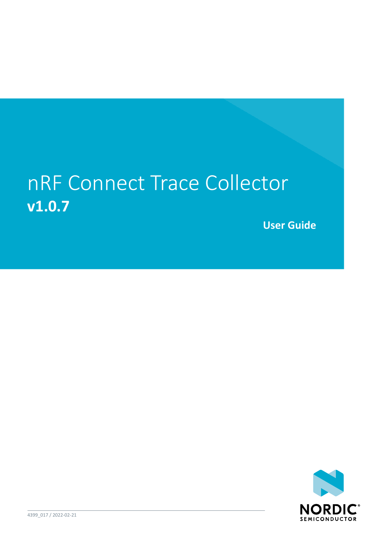## nRF Connect Trace Collector **v1.0.7**

**User Guide**

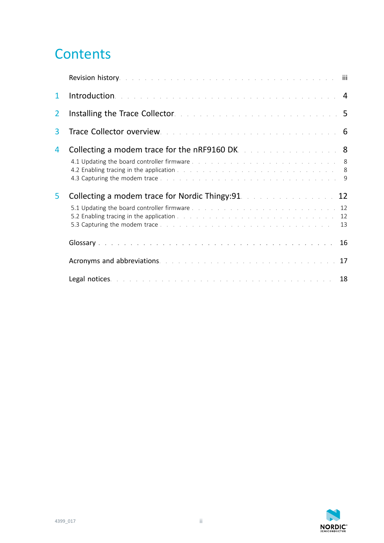## **Contents**

|   | <b>Revision history.</b> The process of the process of the process of the process of the <b>intervential contract of the i</b>                                                                                                                                                                                      |    |
|---|---------------------------------------------------------------------------------------------------------------------------------------------------------------------------------------------------------------------------------------------------------------------------------------------------------------------|----|
| 1 | Introduction. The contract of the contract of the contract of the contract of the 4                                                                                                                                                                                                                                 |    |
| 2 | Installing the Trace Collector. The contract of the contract of the contract of 5                                                                                                                                                                                                                                   |    |
| 3 | Trace Collector overview. The contract of the contract of the contract of 6                                                                                                                                                                                                                                         |    |
| 4 | <b>Collecting a modem trace for the nRF9160 DK.</b> A service a service and <b>8</b>                                                                                                                                                                                                                                |    |
|   |                                                                                                                                                                                                                                                                                                                     |    |
| 5 | <b>Collecting a modem trace for Nordic Thingy: 91.</b> And a serial contract of 12<br>5.2 Enabling tracing in the application the state of the state of the state of the state of the state of the state of the state of the state of the state of the state of the state of the state of the state of the state of |    |
|   |                                                                                                                                                                                                                                                                                                                     | 13 |
|   | Acronyms and abbreviations. The contract of the contract of the contract of the 17                                                                                                                                                                                                                                  |    |

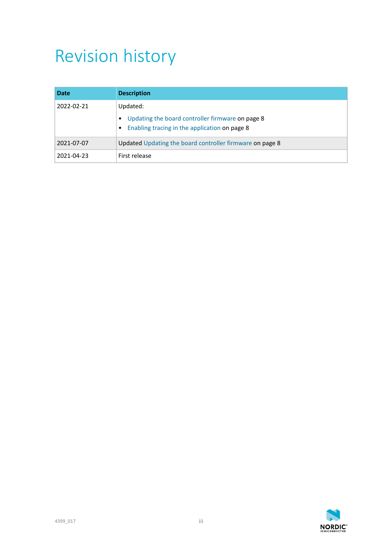## <span id="page-2-0"></span>Revision history

| <b>Date</b> | <b>Description</b>                                                                                |  |
|-------------|---------------------------------------------------------------------------------------------------|--|
| 2022-02-21  | Updated:                                                                                          |  |
|             | Updating the board controller firmware on page 8<br>Enabling tracing in the application on page 8 |  |
| 2021-07-07  | Updated Updating the board controller firmware on page 8                                          |  |
| 2021-04-23  | First release                                                                                     |  |

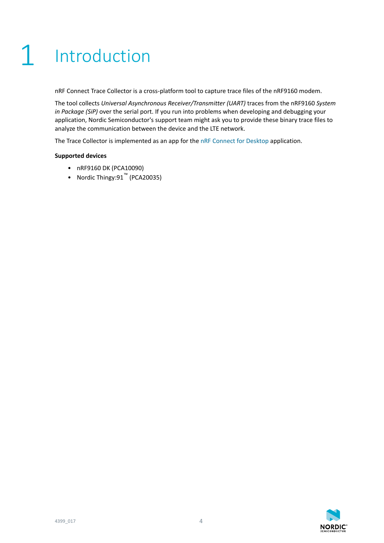# <span id="page-3-0"></span>**Introduction**

nRF Connect Trace Collector is a cross-platform tool to capture trace files of the nRF9160 modem.

The tool collects *[Universal Asynchronous Receiver/Transmitter \(UART\)](#page-15-1)* traces from the nRF9160 *[System](#page-15-2) [in Package \(SiP\)](#page-15-2)* over the serial port. If you run into problems when developing and debugging your application, Nordic Semiconductor's support team might ask you to provide these binary trace files to analyze the communication between the device and the LTE network.

The Trace Collector is implemented as an app for the [nRF Connect for Desktop](https://www.nordicsemi.com/Software-and-Tools/Development-Tools/nRF-Connect-for-desktop) application.

#### **Supported devices**

- nRF9160 DK (PCA10090)
- Nordic Thingy:91™ (PCA20035)

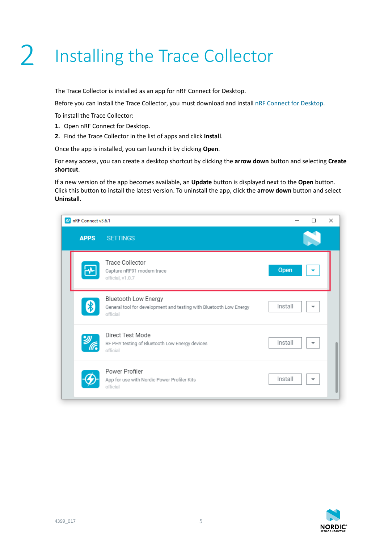# <span id="page-4-0"></span>2 Installing the Trace Collector

The Trace Collector is installed as an app for nRF Connect for Desktop.

Before you can install the Trace Collector, you must download and install [nRF Connect for Desktop](https://www.nordicsemi.com/Software-and-Tools/Development-Tools/nRF-Connect-for-desktop).

To install the Trace Collector:

- **1.** Open nRF Connect for Desktop.
- **2.** Find the Trace Collector in the list of apps and click **Install**.

Once the app is installed, you can launch it by clicking **Open**.

For easy access, you can create a desktop shortcut by clicking the **arrow down** button and selecting **Create shortcut**.

If a new version of the app becomes available, an **Update** button is displayed next to the **Open** button. Click this button to install the latest version. To uninstall the app, click the **arrow down** button and select **Uninstall**.

| $\omega$ | nRF Connect v3.6.1 |                                                                                                               |         |   | $\times$ |
|----------|--------------------|---------------------------------------------------------------------------------------------------------------|---------|---|----------|
|          | <b>APPS</b>        | <b>SETTINGS</b>                                                                                               |         |   |          |
|          |                    | <b>Trace Collector</b><br>Capture nRF91 modem trace<br>official, v1.0.7                                       | Open    |   |          |
|          |                    | <b>Bluetooth Low Energy</b><br>General tool for development and testing with Bluetooth Low Energy<br>official | Install | ▼ |          |
|          |                    | Direct Test Mode<br>RF PHY testing of Bluetooth Low Energy devices<br>official                                | Install | ▼ |          |
|          |                    | Power Profiler<br>App for use with Nordic Power Profiler Kits<br>official                                     | Install | ▼ |          |

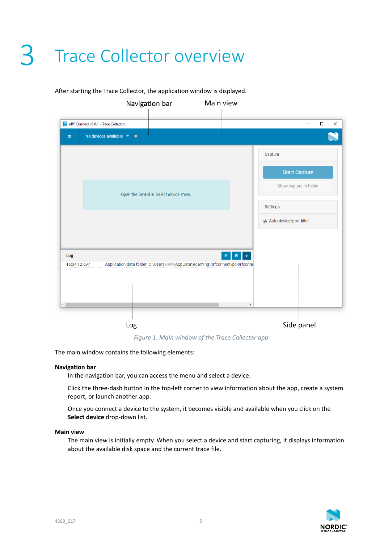# <span id="page-5-0"></span>3 Trace Collector overview

|                                                          | Navigation bar                                                                    | Main view |                   |                         |                          |                    |
|----------------------------------------------------------|-----------------------------------------------------------------------------------|-----------|-------------------|-------------------------|--------------------------|--------------------|
| nRF Connect v3.6.1 - Trace Collector                     |                                                                                   |           |                   |                         | $\overline{\phantom{0}}$ | $\Box$<br>$\times$ |
| No devices available $\rightarrow$ $\bullet$<br>$\equiv$ |                                                                                   |           |                   |                         |                          | N                  |
|                                                          |                                                                                   |           |                   | Capture                 |                          |                    |
|                                                          |                                                                                   |           |                   | <b>Start Capture</b>    |                          |                    |
|                                                          | Open the DevKit in Select device menu.                                            |           |                   | Show capture in folder  |                          |                    |
|                                                          |                                                                                   |           |                   | <b>Settings</b>         |                          |                    |
|                                                          |                                                                                   |           |                   | Auto device/port filter |                          |                    |
|                                                          |                                                                                   |           |                   |                         |                          |                    |
| Log<br>16:34:12.697                                      | Application data folder: C:\Users\efficial\AppData\Roaming\nrfconnect\pc-nrfconne | $\Box$    | $\downarrow$<br>画 |                         |                          |                    |
|                                                          |                                                                                   |           |                   |                         |                          |                    |
| $\leftarrow$                                             |                                                                                   |           | $\mathbf{F}$      |                         |                          |                    |
|                                                          | Log                                                                               |           |                   | Side panel              |                          |                    |

#### After starting the Trace Collector, the application window is displayed.

*Figure 1: Main window of the Trace Collector app*

The main window contains the following elements:

#### **Navigation bar**

In the navigation bar, you can access the menu and select a device.

Click the three-dash button in the top-left corner to view information about the app, create a system report, or launch another app.

Once you connect a device to the system, it becomes visible and available when you click on the **Select device** drop-down list.

#### **Main view**

The main view is initially empty. When you select a device and start capturing, it displays information about the available disk space and the current trace file.

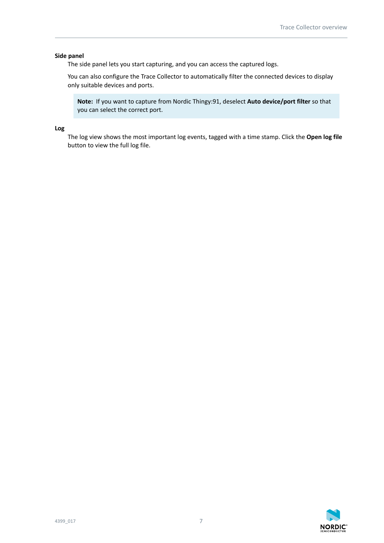#### **Side panel**

The side panel lets you start capturing, and you can access the captured logs.

You can also configure the Trace Collector to automatically filter the connected devices to display only suitable devices and ports.

**Note:** If you want to capture from Nordic Thingy:91, deselect **Auto device/port filter** so that you can select the correct port.

**Log**

The log view shows the most important log events, tagged with a time stamp. Click the **Open log file** button to view the full log file.

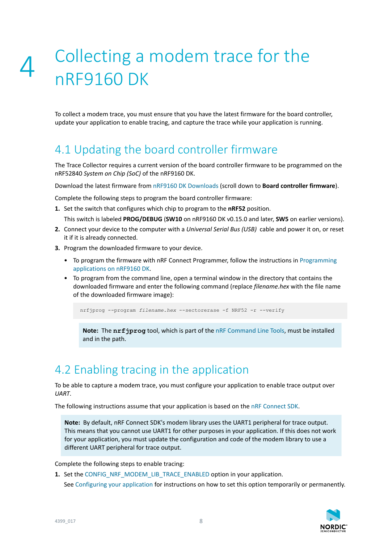## <span id="page-7-0"></span>4 Collecting a modem trace for the nRF9160 DK

To collect a modem trace, you must ensure that you have the latest firmware for the board controller, update your application to enable tracing, and capture the trace while your application is running.

### <span id="page-7-1"></span>4.1 Updating the board controller firmware

The Trace Collector requires a current version of the board controller firmware to be programmed on the nRF52840 *[System on Chip \(SoC\)](#page-15-3)* of the nRF9160 DK.

Download the latest firmware from [nRF9160 DK Downloads](https://www.nordicsemi.com/Software-and-tools/Development-Kits/nRF9160-DK/Download#infotabs) (scroll down to **Board controller firmware**).

Complete the following steps to program the board controller firmware:

**1.** Set the switch that configures which chip to program to the **nRF52** position.

This switch is labeled **PROG/DEBUG** (**SW10** on nRF9160 DK v0.15.0 and later, **SW5** on earlier versions).

- **2.** Connect your device to the computer with a *[Universal Serial Bus \(USB\)](#page-15-4)* cable and power it on, or reset it if it is already connected.
- **3.** Program the downloaded firmware to your device.
	- To program the firmware with nRF Connect Programmer, follow the instructions in [Programming](https://developer.nordicsemi.com/nRF_Connect_SDK/doc/latest/nrf/ug_nrf9160_gs.html#updating-the-application-firmware) [applications on nRF9160 DK.](https://developer.nordicsemi.com/nRF_Connect_SDK/doc/latest/nrf/ug_nrf9160_gs.html#updating-the-application-firmware)
	- To program from the command line, open a terminal window in the directory that contains the downloaded firmware and enter the following command (replace *filename.hex* with the file name of the downloaded firmware image):

nrfjprog --program *filename.hex* --sectorerase -f NRF52 -r --verify

**Note:** The **nrfjprog** tool, which is part of the [nRF Command Line Tools](https://infocenter.nordicsemi.com/topic/ug_nrf_cltools/UG/cltools/nrf_command_line_tools_lpage.html), must be installed and in the path.

### <span id="page-7-2"></span>4.2 Enabling tracing in the application

To be able to capture a modem trace, you must configure your application to enable trace output over *[UART](#page-15-1)*.

The following instructions assume that your application is based on the [nRF Connect SDK](https://www.nordicsemi.com/Software-and-Tools/Software/nRF-Connect-SDK).

**Note:** By default, nRF Connect SDK's modem library uses the UART1 peripheral for trace output. This means that you cannot use UART1 for other purposes in your application. If this does not work for your application, you must update the configuration and code of the modem library to use a different UART peripheral for trace output.

Complete the following steps to enable tracing:

**1.** Set the [CONFIG\\_NRF\\_MODEM\\_LIB\\_TRACE\\_ENABLED](https://developer.nordicsemi.com/nRF_Connect_SDK/doc/latest/kconfig/CONFIG_NRF_MODEM_LIB_TRACE_ENABLED.html#cmdoption-arg-CONFIG_NRF_MODEM_LIB_TRACE_ENABLED) option in your application.

See [Configuring your application](https://developer.nordicsemi.com/nRF_Connect_SDK/doc/latest/nrf/gs_modifying.html#configuring-your-application) for instructions on how to set this option temporarily or permanently.

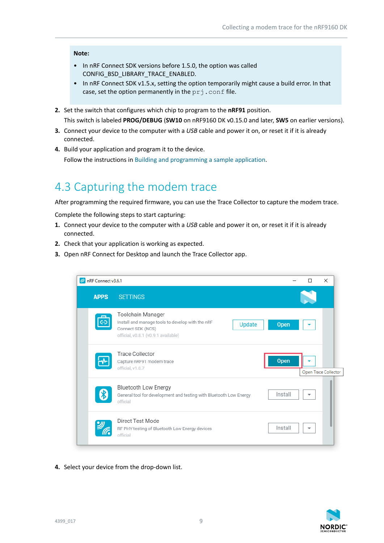#### **Note:**

- In nRF Connect SDK versions before 1.5.0, the option was called CONFIG\_BSD\_LIBRARY\_TRACE\_ENABLED.
- In nRF Connect SDK v1.5.x, setting the option temporarily might cause a build error. In that case, set the option permanently in the  $pri$ . conf file.
- **2.** Set the switch that configures which chip to program to the **nRF91** position. This switch is labeled **PROG/DEBUG** (**SW10** on nRF9160 DK v0.15.0 and later, **SW5** on earlier versions).
- **3.** Connect your device to the computer with a *[USB](#page-15-4)* cable and power it on, or reset it if it is already connected.
- **4.** Build your application and program it to the device. Follow the instructions in [Building and programming a sample application.](https://developer.nordicsemi.com/nRF_Connect_SDK/doc/latest/nrf/gs_programming.html)

### <span id="page-8-0"></span>4.3 Capturing the modem trace

After programming the required firmware, you can use the Trace Collector to capture the modem trace.

Complete the following steps to start capturing:

- **1.** Connect your device to the computer with a *[USB](#page-15-4)* cable and power it on, or reset it if it is already connected.
- **2.** Check that your application is working as expected.
- **3.** Open nRF Connect for Desktop and launch the Trace Collector app.



**4.** Select your device from the drop-down list.

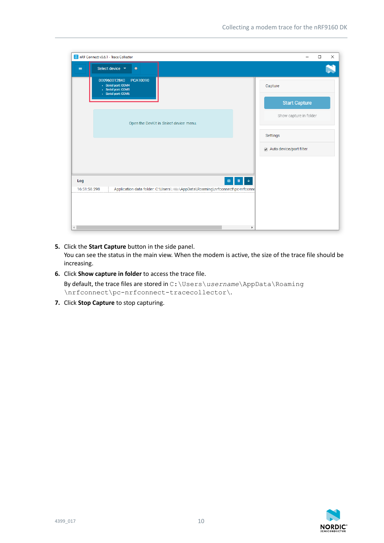| IM nRF Connect v3.6.1 - Trace Collector                                                       | $\times$<br>$\Box$      |
|-----------------------------------------------------------------------------------------------|-------------------------|
| Select device ▼<br>$\bullet$<br>$\equiv$                                                      |                         |
| PCA10090<br>000960012840<br>- Serial port: COM4<br>- Serial port: COM5<br>- Serial port: COM6 | Capture                 |
|                                                                                               | <b>Start Capture</b>    |
| Open the DevKit in Select device menu.                                                        | Show capture in folder  |
|                                                                                               | Settings                |
|                                                                                               | Auto device/port filter |
|                                                                                               |                         |
| Log<br>$\qquad \qquad \blacksquare$<br>画                                                      |                         |
| Application data folder: C:\Users\. \AppData\Roaming\nrfconnect\pc-nrfconn(<br>16:51:58.298   |                         |
|                                                                                               |                         |
|                                                                                               |                         |
| $\left($<br>Þ.                                                                                |                         |

- **5.** Click the **Start Capture** button in the side panel. You can see the status in the main view. When the modem is active, the size of the trace file should be increasing.
- **6.** Click **Show capture in folder** to access the trace file. By default, the trace files are stored in C:\Users\*username*\AppData\Roaming \nrfconnect\pc-nrfconnect-tracecollector\.
- **7.** Click **Stop Capture** to stop capturing.

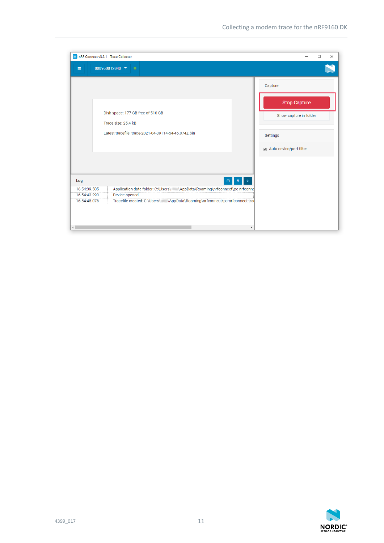| ISSI nRF Connect v3.6.1 - Trace Collector |                                                                               | $\times$<br>□           |
|-------------------------------------------|-------------------------------------------------------------------------------|-------------------------|
| $\equiv$                                  | 000960012840 -<br>$\bullet$                                                   |                         |
|                                           |                                                                               | Capture                 |
|                                           |                                                                               | <b>Stop Capture</b>     |
|                                           | Disk space: 177 GB free of 510 GB                                             | Show capture in folder  |
|                                           | Trace size: 25.4 kB                                                           |                         |
|                                           | Latest tracefile: trace-2021-04-09T14-54-45.074Z.bin                          | Settings                |
|                                           |                                                                               | Auto device/port filter |
| Log                                       | $\qquad \qquad \boxdot \qquad \qquad$<br>$\ddot{\phantom{1}}$<br>画            |                         |
| 16:54:39.505                              | Application data folder: C:\Users\. \AppData\Roaming\nrfconnect\pc-nrfconn(   |                         |
| 16:54:43.290                              | Device opened                                                                 |                         |
| 16:54:45.076                              | Tracefile created: C:\Users\ \ \AppData\Roaming\nrfconnect\pc-nrfconnect-tra- |                         |
|                                           |                                                                               |                         |

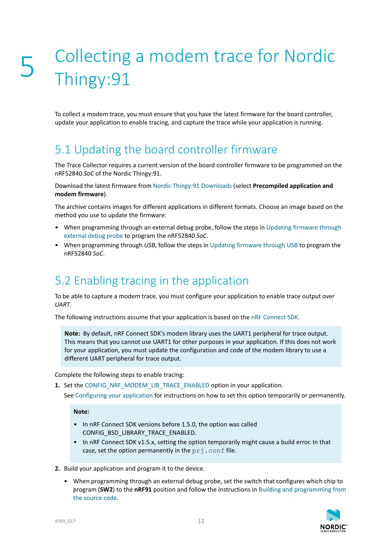## <span id="page-11-0"></span>5 Collecting a modem trace for Nordic Thingy:91

To collect a modem trace, you must ensure that you have the latest firmware for the board controller, update your application to enable tracing, and capture the trace while your application is running.

## <span id="page-11-1"></span>5.1 Updating the board controller firmware

The Trace Collector requires a current version of the board controller firmware to be programmed on the nRF52840 *[SoC](#page-15-3)* of the Nordic Thingy:91.

Download the latest firmware from [Nordic Thingy:91 Downloads](https://www.nordicsemi.com/Software-and-Tools/Prototyping-platforms/Nordic-Thingy-91/Download#infotabs) (select **Precompiled application and modem firmware**).

The archive contains images for different applications in different formats. Choose an image based on the method you use to update the firmware:

- When programming through an external debug probe, follow the steps in [Updating firmware through](https://developer.nordicsemi.com/nRF_Connect_SDK/doc/latest/nrf/ug_thingy91_gsg.html?#updating-firmware-through-external-debug-probe) [external debug probe](https://developer.nordicsemi.com/nRF_Connect_SDK/doc/latest/nrf/ug_thingy91_gsg.html?#updating-firmware-through-external-debug-probe) to program the nRF52840 *[SoC](#page-15-3)*.
- When programming through *[USB](#page-15-4)*, follow the steps in [Updating firmware through USB](https://developer.nordicsemi.com/nRF_Connect_SDK/doc/latest/nrf/ug_thingy91_gsg.html?#updating-firmware-through-usb) to program the nRF52840 *[SoC](#page-15-3)*.

## <span id="page-11-2"></span>5.2 Enabling tracing in the application

To be able to capture a modem trace, you must configure your application to enable trace output over *[UART](#page-15-1)*.

The following instructions assume that your application is based on the [nRF Connect SDK](https://www.nordicsemi.com/Software-and-Tools/Software/nRF-Connect-SDK).

**Note:** By default, nRF Connect SDK's modem library uses the UART1 peripheral for trace output. This means that you cannot use UART1 for other purposes in your application. If this does not work for your application, you must update the configuration and code of the modem library to use a different UART peripheral for trace output.

Complete the following steps to enable tracing:

**1.** Set the [CONFIG\\_NRF\\_MODEM\\_LIB\\_TRACE\\_ENABLED](https://developer.nordicsemi.com/nRF_Connect_SDK/doc/latest/kconfig/CONFIG_NRF_MODEM_LIB_TRACE_ENABLED.html#cmdoption-arg-CONFIG_NRF_MODEM_LIB_TRACE_ENABLED) option in your application.

See [Configuring your application](https://developer.nordicsemi.com/nRF_Connect_SDK/doc/latest/nrf/gs_modifying.html#configuring-your-application) for instructions on how to set this option temporarily or permanently.

**Note:**

- In nRF Connect SDK versions before 1.5.0, the option was called CONFIG\_BSD\_LIBRARY\_TRACE\_ENABLED.
- In nRF Connect SDK v1.5.x, setting the option temporarily might cause a build error. In that case, set the option permanently in the  $pri$ . conf file.
- **2.** Build your application and program it to the device.
	- When programming through an external debug probe, set the switch that configures which chip to program (**SW2**) to the **nRF91** position and follow the instructions in [Building and programming from](https://developer.nordicsemi.com/nRF_Connect_SDK/doc/latest/nrf/ug_thingy91.html#building-and-programming-from-the-source-code) [the source code](https://developer.nordicsemi.com/nRF_Connect_SDK/doc/latest/nrf/ug_thingy91.html#building-and-programming-from-the-source-code).

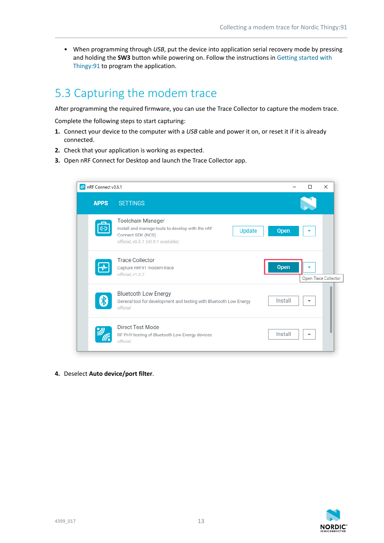• When programming through *[USB](#page-15-4)*, put the device into application serial recovery mode by pressing and holding the **SW3** button while powering on. Follow the instructions in [Getting started with](https://developer.nordicsemi.com/nRF_Connect_SDK/doc/latest/nrf/ug_thingy91_gsg.html) [Thingy:91](https://developer.nordicsemi.com/nRF_Connect_SDK/doc/latest/nrf/ug_thingy91_gsg.html) to program the application.

## <span id="page-12-0"></span>5.3 Capturing the modem trace

After programming the required firmware, you can use the Trace Collector to capture the modem trace.

Complete the following steps to start capturing:

- **1.** Connect your device to the computer with a *[USB](#page-15-4)* cable and power it on, or reset it if it is already connected.
- **2.** Check that your application is working as expected.
- **3.** Open nRF Connect for Desktop and launch the Trace Collector app.

| $\infty$ nRF Connect v3.6.1 |                                                                                                                                                    |         | $\times$<br>п        |
|-----------------------------|----------------------------------------------------------------------------------------------------------------------------------------------------|---------|----------------------|
| <b>APPS</b>                 | <b>SETTINGS</b>                                                                                                                                    |         |                      |
| ⊝                           | Toolchain Manager<br>Install and manage tools to develop with the nRF<br><b>Update</b><br>Connect SDK (NCS)<br>official, v0.8.1 (v0.9.1 available) | Open    |                      |
|                             | <b>Trace Collector</b><br>Capture nRF91 modem trace<br>official, v1.0.7                                                                            | Open    | Open Trace Collector |
|                             | <b>Bluetooth Low Energy</b><br>General tool for development and testing with Bluetooth Low Energy<br>official                                      | Install | ▼                    |
|                             | Direct Test Mode<br>RF PHY testing of Bluetooth Low Energy devices<br>official                                                                     | Install | ▼                    |

**4.** Deselect **Auto device/port filter**.

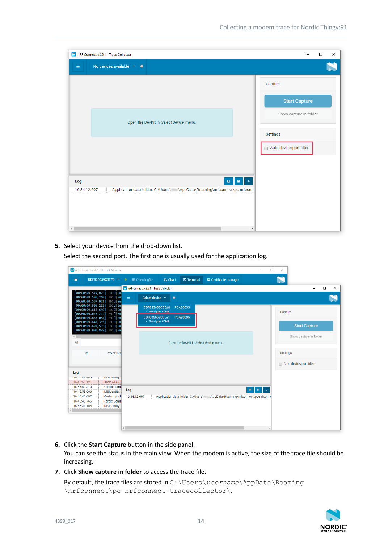| RF Connect v3.6.1 - Trace Collector                                                              | $\times$<br>$\Box$      |
|--------------------------------------------------------------------------------------------------|-------------------------|
| No devices available $\rightarrow$ $\bullet$<br>$=$                                              |                         |
|                                                                                                  | Capture                 |
|                                                                                                  | <b>Start Capture</b>    |
| Open the DevKit in Select device menu.                                                           | Show capture in folder  |
|                                                                                                  | Settings                |
|                                                                                                  | Auto device/port filter |
|                                                                                                  |                         |
| Log<br>日<br>画                                                                                    | $\blacklozenge$         |
| Application data folder: C:\Users\Niktity\AppData\Roaming\nrfconnect\pc-nrfconne<br>16:34:12.697 |                         |
|                                                                                                  |                         |
|                                                                                                  |                         |
|                                                                                                  | $\blacktriangleright$   |

**5.** Select your device from the drop-down list.

Select the second port. The first one is usually used for the application log.

| MunRF Connect v3.6.1 - LTE Link Monitor                                                | $\Box$<br>-                                                                                            | $\times$                |
|----------------------------------------------------------------------------------------|--------------------------------------------------------------------------------------------------------|-------------------------|
| DDF835659CBE#0 -<br>$\equiv$                                                           | <b>■ Open logfile</b><br>$\boxtimes$ Terminal<br>E Certificate manager<br><b>I∆ Chart</b><br>$\bullet$ |                         |
|                                                                                        | In RF Connect v3.6.1 - Trace Collector                                                                 | $\Box$<br>$\times$<br>- |
| 00:00:09.579,925] ESC D[0m                                                             |                                                                                                        |                         |
| $[00:00:09.590, 240]$ ESC D [Om<br>00:00:09.597,961] ESC D[0m                          | Select device v<br>$=$<br>$\bullet$                                                                    |                         |
| 00:00:09.605,255] ESC □[0m<br>00:00:09.612,640] ESC D[0m<br>00:00:09.628,295] ESC D[0m | DDF835659CBE#0<br><b>PCA20035</b><br>· Serial port: COM8                                               | Capture                 |
| 00:00:09.637,084] ESC D[0m                                                             | DDF835659CBE#1<br>PCA20035                                                                             |                         |
| 00:00:09.645,355] ESC D[0m<br>00:00:09.692,535] ESC D[0m                               | - Serial port: COM9                                                                                    | <b>Start Capture</b>    |
| $[00:00:09.900, 878]$ ESC $\Box$ [0m                                                   |                                                                                                        |                         |
| $\leftarrow$                                                                           |                                                                                                        | Show capture in folder  |
| $\odot$                                                                                | Open the DevKit in Select device menu.                                                                 |                         |
| AT<br>AT+CFUN?                                                                         |                                                                                                        | <b>Settings</b>         |
|                                                                                        |                                                                                                        |                         |
|                                                                                        |                                                                                                        | Auto device/port filter |
| Log                                                                                    |                                                                                                        |                         |
| 10.40.42.900<br>пиющеницу.                                                             |                                                                                                        |                         |
| Error: AT#XF<br>16:45:50.121                                                           |                                                                                                        |                         |
| 16:45:58.310<br>Nordic Semi                                                            | $\blacklozenge$<br>Log<br>$\qquad \qquad \blacksquare$<br>$\blacksquare$                               |                         |
| 16:45:58.666<br><b>IMSIdentity:</b>                                                    |                                                                                                        |                         |
| 16:46:40.692<br>Modem port                                                             | \AppData\Roaming\nrfconnect\pc-nrfconne<br>16:34:12.697<br>Application data folder: C:\Users\          |                         |
| Nordic Semi<br>16:46:40.766                                                            |                                                                                                        |                         |
| 16:46:41.106<br><b>IMSIdentity:</b>                                                    |                                                                                                        |                         |
|                                                                                        |                                                                                                        |                         |
|                                                                                        |                                                                                                        |                         |
|                                                                                        |                                                                                                        |                         |
|                                                                                        | $\leftarrow$<br>ь                                                                                      |                         |

**6.** Click the **Start Capture** button in the side panel.

You can see the status in the main view. When the modem is active, the size of the trace file should be increasing.

**7.** Click **Show capture in folder** to access the trace file.

```
By default, the trace files are stored in C:\Users\username\AppData\Roaming
\nrfconnect\pc-nrfconnect-tracecollector\.
```
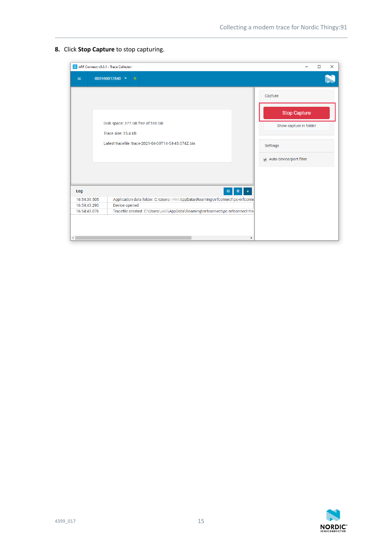**8.** Click **Stop Capture** to stop capturing.

| nRF Connect v3.6.1 - Trace Collector                |                                                                                                                                                                                               | $\Box$<br>X                                                                                     |
|-----------------------------------------------------|-----------------------------------------------------------------------------------------------------------------------------------------------------------------------------------------------|-------------------------------------------------------------------------------------------------|
| $\equiv$                                            | 000960012840 -<br>$\bullet$                                                                                                                                                                   |                                                                                                 |
|                                                     | Disk space: 177 GB free of 510 GB<br>Trace size: 25.4 kB<br>Latest tracefile: trace-2021-04-09T14-54-45.074Z.bin                                                                              | Capture<br><b>Stop Capture</b><br>Show capture in folder<br>Settings<br>Auto device/port filter |
| Log<br>16:54:39.505<br>16:54:43.290<br>16:54:45.076 | 目<br>画<br>Application data folder: C:\Users\ \ \AppData\Roaming\nrfconnect\pc-nrfconne<br>Device opened<br>Tracefile created: C:\Users\ \ \AppData\Roaming\nrfconnect\pc-nrfconnect-tra-<br>٠ |                                                                                                 |

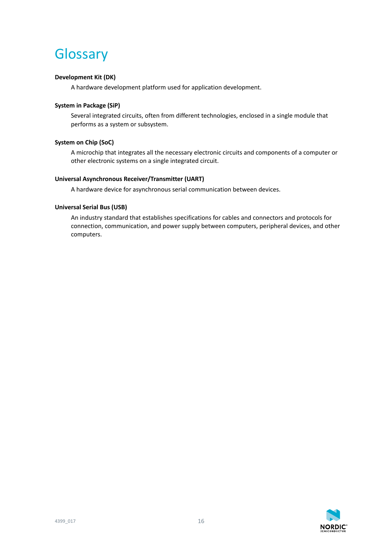## <span id="page-15-0"></span>**Glossary**

#### **Development Kit (DK)**

A hardware development platform used for application development.

#### <span id="page-15-2"></span>**System in Package (SiP)**

Several integrated circuits, often from different technologies, enclosed in a single module that performs as a system or subsystem.

#### <span id="page-15-3"></span>**System on Chip (SoC)**

A microchip that integrates all the necessary electronic circuits and components of a computer or other electronic systems on a single integrated circuit.

#### <span id="page-15-1"></span>**Universal Asynchronous Receiver/Transmitter (UART)**

A hardware device for asynchronous serial communication between devices.

#### <span id="page-15-4"></span>**Universal Serial Bus (USB)**

An industry standard that establishes specifications for cables and connectors and protocols for connection, communication, and power supply between computers, peripheral devices, and other computers.

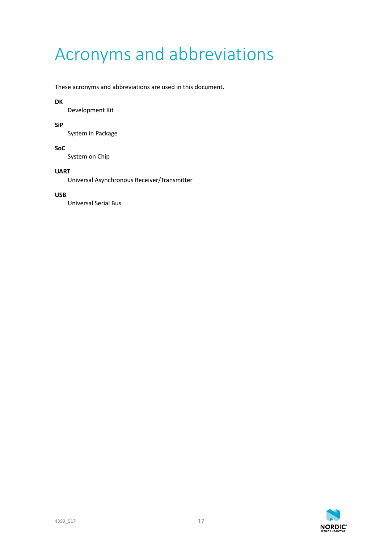## <span id="page-16-0"></span>Acronyms and abbreviations

#### These acronyms and abbreviations are used in this document.

#### **DK**

Development Kit

#### **SiP**

System in Package

#### **SoC**

System on Chip

#### **UART**

Universal Asynchronous Receiver/Transmitter

#### **USB**

Universal Serial Bus